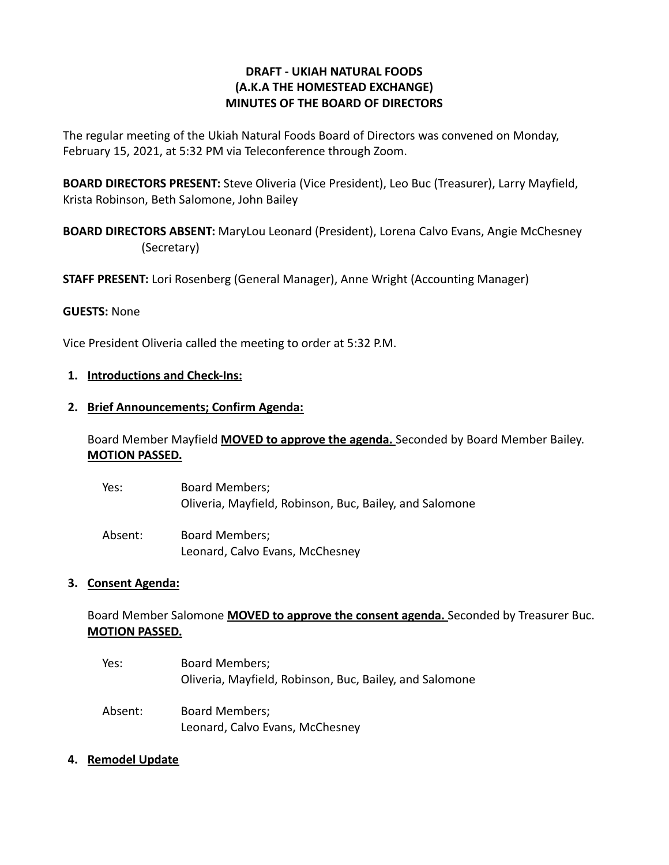# **DRAFT - UKIAH NATURAL FOODS (A.K.A THE HOMESTEAD EXCHANGE) MINUTES OF THE BOARD OF DIRECTORS**

The regular meeting of the Ukiah Natural Foods Board of Directors was convened on Monday, February 15, 2021, at 5:32 PM via Teleconference through Zoom.

**BOARD DIRECTORS PRESENT:** Steve Oliveria (Vice President), Leo Buc (Treasurer), Larry Mayfield, Krista Robinson, Beth Salomone, John Bailey

**BOARD DIRECTORS ABSENT:** MaryLou Leonard (President), Lorena Calvo Evans, Angie McChesney (Secretary)

**STAFF PRESENT:** Lori Rosenberg (General Manager), Anne Wright (Accounting Manager)

### **GUESTS:** None

Vice President Oliveria called the meeting to order at 5:32 P.M.

### **1. Introductions and Check-Ins:**

#### **2. Brief Announcements; Confirm Agenda:**

Board Member Mayfield **MOVED to approve the agenda.** Seconded by Board Member Bailey. **MOTION PASSED.**

| Yes:    | <b>Board Members;</b><br>Oliveria, Mayfield, Robinson, Buc, Bailey, and Salomone |
|---------|----------------------------------------------------------------------------------|
| Absent: | <b>Board Members;</b><br>Leonard, Calvo Evans, McChesney                         |

### **3. Consent Agenda:**

# Board Member Salomone **MOVED to approve the consent agenda.** Seconded by Treasurer Buc. **MOTION PASSED.**

Yes: Board Members; Oliveria, Mayfield, Robinson, Buc, Bailey, and Salomone Absent: Board Members; Leonard, Calvo Evans, McChesney

### **4. Remodel Update**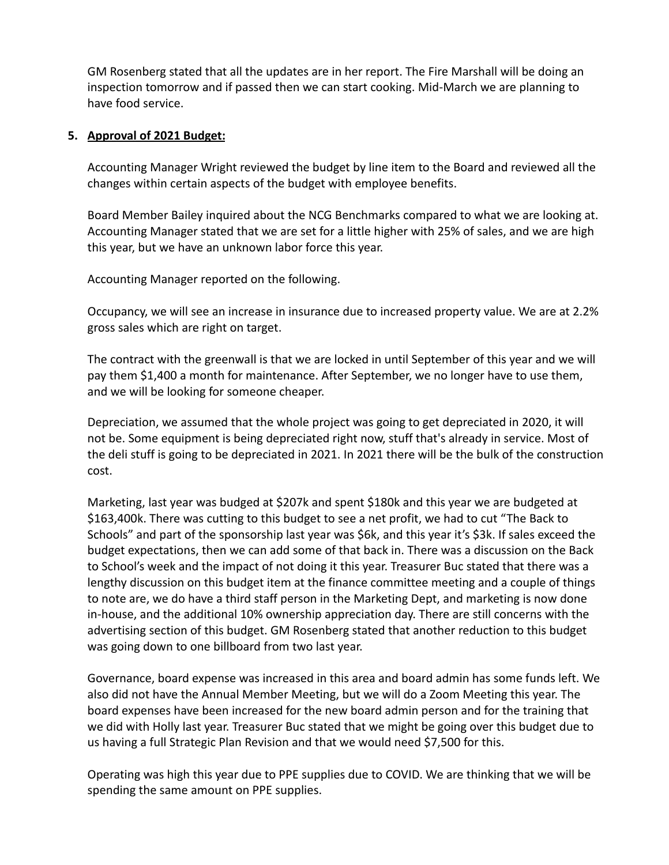GM Rosenberg stated that all the updates are in her report. The Fire Marshall will be doing an inspection tomorrow and if passed then we can start cooking. Mid-March we are planning to have food service.

### **5. Approval of 2021 Budget:**

Accounting Manager Wright reviewed the budget by line item to the Board and reviewed all the changes within certain aspects of the budget with employee benefits.

Board Member Bailey inquired about the NCG Benchmarks compared to what we are looking at. Accounting Manager stated that we are set for a little higher with 25% of sales, and we are high this year, but we have an unknown labor force this year.

Accounting Manager reported on the following.

Occupancy, we will see an increase in insurance due to increased property value. We are at 2.2% gross sales which are right on target.

The contract with the greenwall is that we are locked in until September of this year and we will pay them \$1,400 a month for maintenance. After September, we no longer have to use them, and we will be looking for someone cheaper.

Depreciation, we assumed that the whole project was going to get depreciated in 2020, it will not be. Some equipment is being depreciated right now, stuff that's already in service. Most of the deli stuff is going to be depreciated in 2021. In 2021 there will be the bulk of the construction cost.

Marketing, last year was budged at \$207k and spent \$180k and this year we are budgeted at \$163,400k. There was cutting to this budget to see a net profit, we had to cut "The Back to Schools" and part of the sponsorship last year was \$6k, and this year it's \$3k. If sales exceed the budget expectations, then we can add some of that back in. There was a discussion on the Back to School's week and the impact of not doing it this year. Treasurer Buc stated that there was a lengthy discussion on this budget item at the finance committee meeting and a couple of things to note are, we do have a third staff person in the Marketing Dept, and marketing is now done in-house, and the additional 10% ownership appreciation day. There are still concerns with the advertising section of this budget. GM Rosenberg stated that another reduction to this budget was going down to one billboard from two last year.

Governance, board expense was increased in this area and board admin has some funds left. We also did not have the Annual Member Meeting, but we will do a Zoom Meeting this year. The board expenses have been increased for the new board admin person and for the training that we did with Holly last year. Treasurer Buc stated that we might be going over this budget due to us having a full Strategic Plan Revision and that we would need \$7,500 for this.

Operating was high this year due to PPE supplies due to COVID. We are thinking that we will be spending the same amount on PPE supplies.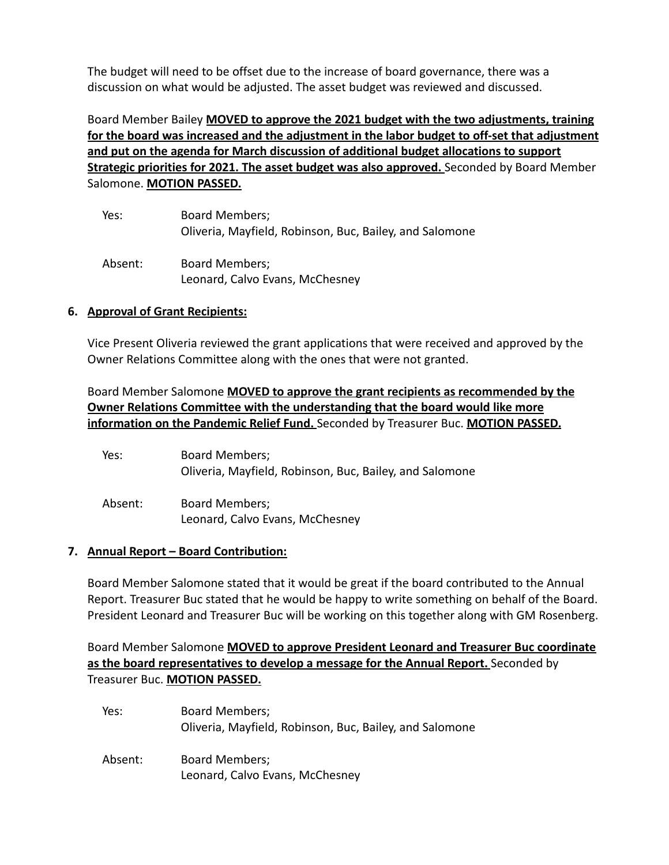The budget will need to be offset due to the increase of board governance, there was a discussion on what would be adjusted. The asset budget was reviewed and discussed.

Board Member Bailey **MOVED to approve the 2021 budget with the two adjustments, training for the board was increased and the adjustment in the labor budget to off-set that adjustment and put on the agenda for March discussion of additional budget allocations to support Strategic priorities for 2021. The asset budget was also approved.** Seconded by Board Member Salomone. **MOTION PASSED.**

| Yes:    | <b>Board Members;</b><br>Oliveria, Mayfield, Robinson, Buc, Bailey, and Salomone |
|---------|----------------------------------------------------------------------------------|
| Absent: | <b>Board Members;</b><br>Leonard, Calvo Evans, McChesney                         |

### **6. Approval of Grant Recipients:**

Vice Present Oliveria reviewed the grant applications that were received and approved by the Owner Relations Committee along with the ones that were not granted.

Board Member Salomone **MOVED to approve the grant recipients as recommended by the Owner Relations Committee with the understanding that the board would like more information on the Pandemic Relief Fund.** Seconded by Treasurer Buc. **MOTION PASSED.**

| Yes:    | <b>Board Members;</b><br>Oliveria, Mayfield, Robinson, Buc, Bailey, and Salomone |
|---------|----------------------------------------------------------------------------------|
| Absent: | Board Members;<br>Leonard, Calvo Evans, McChesney                                |

### **7. Annual Report – Board Contribution:**

Board Member Salomone stated that it would be great if the board contributed to the Annual Report. Treasurer Buc stated that he would be happy to write something on behalf of the Board. President Leonard and Treasurer Buc will be working on this together along with GM Rosenberg.

Board Member Salomone **MOVED to approve President Leonard and Treasurer Buc coordinate as the board representatives to develop a message for the Annual Report.** Seconded by Treasurer Buc. **MOTION PASSED.**

| Yes:    | <b>Board Members;</b><br>Oliveria, Mayfield, Robinson, Buc, Bailey, and Salomone |
|---------|----------------------------------------------------------------------------------|
| Absent: | <b>Board Members;</b><br>Leonard, Calvo Evans, McChesney                         |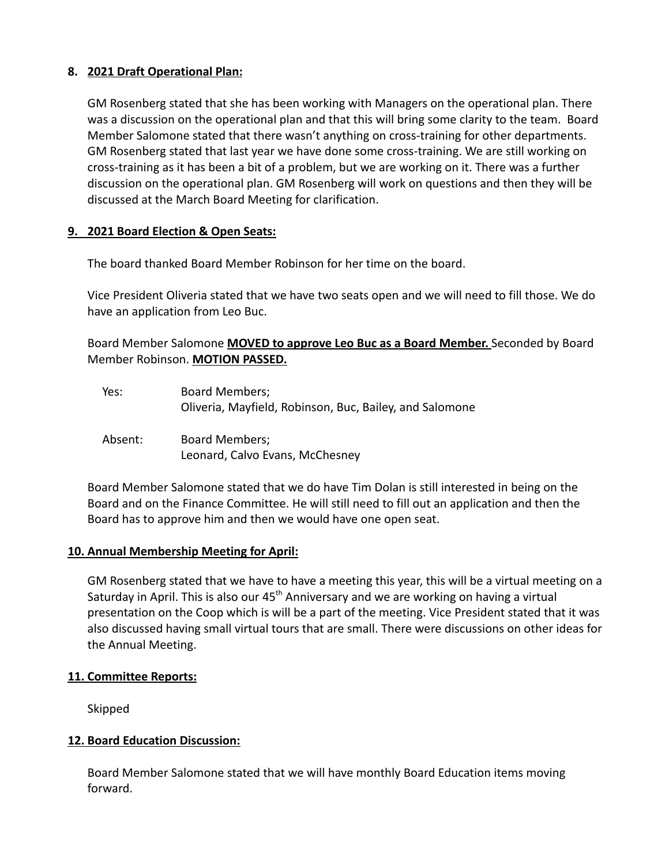## **8. 2021 Draft Operational Plan:**

GM Rosenberg stated that she has been working with Managers on the operational plan. There was a discussion on the operational plan and that this will bring some clarity to the team. Board Member Salomone stated that there wasn't anything on cross-training for other departments. GM Rosenberg stated that last year we have done some cross-training. We are still working on cross-training as it has been a bit of a problem, but we are working on it. There was a further discussion on the operational plan. GM Rosenberg will work on questions and then they will be discussed at the March Board Meeting for clarification.

### **9. 2021 Board Election & Open Seats:**

The board thanked Board Member Robinson for her time on the board.

Vice President Oliveria stated that we have two seats open and we will need to fill those. We do have an application from Leo Buc.

Board Member Salomone **MOVED to approve Leo Buc as a Board Member.** Seconded by Board Member Robinson. **MOTION PASSED.**

| Yes:    | <b>Board Members;</b><br>Oliveria, Mayfield, Robinson, Buc, Bailey, and Salomone |
|---------|----------------------------------------------------------------------------------|
| Absent: | <b>Board Members;</b><br>Leonard, Calvo Evans, McChesney                         |

Board Member Salomone stated that we do have Tim Dolan is still interested in being on the Board and on the Finance Committee. He will still need to fill out an application and then the Board has to approve him and then we would have one open seat.

### **10. Annual Membership Meeting for April:**

GM Rosenberg stated that we have to have a meeting this year, this will be a virtual meeting on a Saturday in April. This is also our 45<sup>th</sup> Anniversary and we are working on having a virtual presentation on the Coop which is will be a part of the meeting. Vice President stated that it was also discussed having small virtual tours that are small. There were discussions on other ideas for the Annual Meeting.

### **11. Committee Reports:**

Skipped

### **12. Board Education Discussion:**

Board Member Salomone stated that we will have monthly Board Education items moving forward.